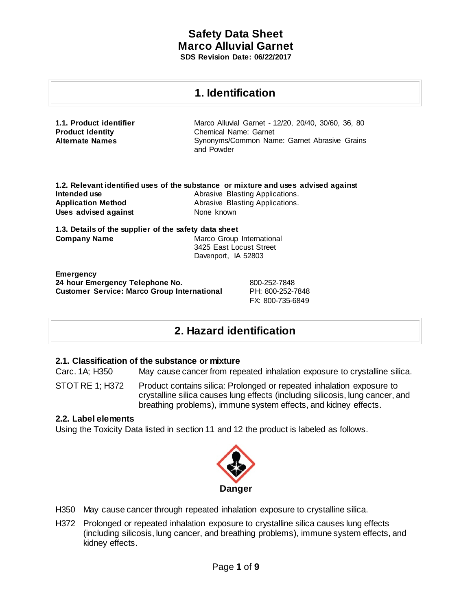## **1. Identification**

| 1.1. Product identifier | Marco Alluvial Garnet - 12/20, 20/40, 30/60, 36, 80        |
|-------------------------|------------------------------------------------------------|
| <b>Product Identity</b> | Chemical Name: Garnet                                      |
| <b>Alternate Names</b>  | Synonyms/Common Name: Garnet Abrasive Grains<br>and Powder |

|                           | 1.2. Relevant identified uses of the substance or mixture and uses advised against |
|---------------------------|------------------------------------------------------------------------------------|
| Intended use              | Abrasive Blasting Applications.                                                    |
| <b>Application Method</b> | Abrasive Blasting Applications.                                                    |
| Uses advised against      | None known                                                                         |

**1.3. Details of the supplier of the safety data sheet Company Name Marco Group International** 3425 East Locust Street Davenport, IA 52803

**Emergency 24 hour Emergency Telephone No.** 800-252-7848 **Customer Service: Marco Group International** PH: 800-252-7848

FX: 800-735-6849

# **2. Hazard identification**

## **2.1. Classification of the substance or mixture**

Carc. 1A; H350 May cause cancer from repeated inhalation exposure to crystalline silica.

STOT RE 1; H372 Product contains silica: Prolonged or repeated inhalation exposure to crystalline silica causes lung effects (including silicosis, lung cancer, and breathing problems), immune system effects, and kidney effects.

## **2.2. Label elements**

Using the Toxicity Data listed in section 11 and 12 the product is labeled as follows.



- H350 May cause cancer through repeated inhalation exposure to crystalline silica.
- H372 Prolonged or repeated inhalation exposure to crystalline silica causes lung effects (including silicosis, lung cancer, and breathing problems), immune system effects, and kidney effects.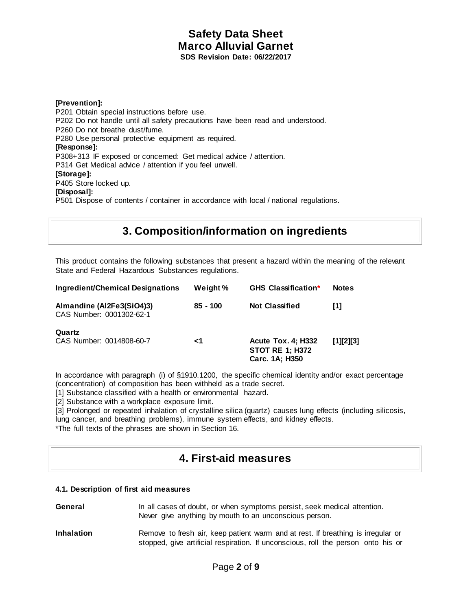**[Prevention]:** P201 Obtain special instructions before use. P202 Do not handle until all safety precautions have been read and understood. P260 Do not breathe dust/fume. P280 Use personal protective equipment as required. **[Response]:** P308+313 IF exposed or concerned: Get medical advice / attention. P314 Get Medical advice / attention if you feel unwell. **[Storage]:** P405 Store locked up. **[Disposal]:** P501 Dispose of contents / container in accordance with local / national regulations.

# **3. Composition/information on ingredients**

This product contains the following substances that present a hazard within the meaning of the relevant State and Federal Hazardous Substances regulations.

| Ingredient/Chemical Designations                      | Weight %   | <b>GHS Classification*</b>                                            | <b>Notes</b> |
|-------------------------------------------------------|------------|-----------------------------------------------------------------------|--------------|
| Almandine (Al2Fe3(SiO4)3)<br>CAS Number: 0001302-62-1 | $85 - 100$ | <b>Not Classified</b>                                                 | [1]          |
| Quartz<br>CAS Number: 0014808-60-7                    | ا>         | <b>Acute Tox. 4; H332</b><br><b>STOT RE 1; H372</b><br>Carc. 1A; H350 | [1][2][3]    |

In accordance with paragraph (i) of §1910.1200, the specific chemical identity and/or exact percentage (concentration) of composition has been withheld as a trade secret.

[1] Substance classified with a health or environmental hazard.

[2] Substance with a workplace exposure limit.

[3] Prolonged or repeated inhalation of crystalline silica (quartz) causes lung effects (including silicosis, lung cancer, and breathing problems), immune system effects, and kidney effects.

\*The full texts of the phrases are shown in Section 16.

## **4. First-aid measures**

### **4.1. Description of first aid measures**

- **General** In all cases of doubt, or when symptoms persist, seek medical attention. Never give anything by mouth to an unconscious person.
- **Inhalation Remove to fresh air, keep patient warm and at rest. If breathing is irregular or** stopped, give artificial respiration. If unconscious, roll the person onto his or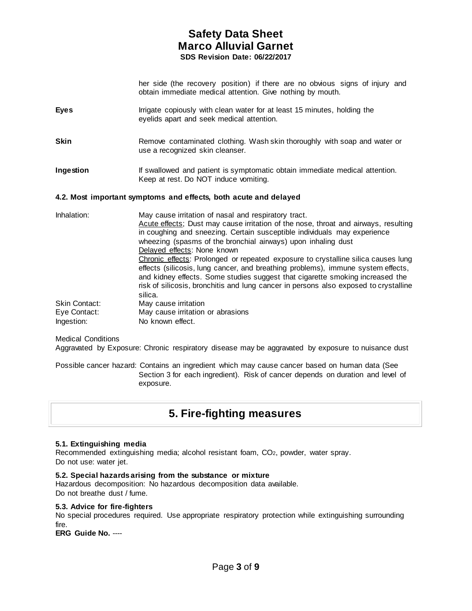her side (the recovery position) if there are no obvious signs of injury and obtain immediate medical attention. Give nothing by mouth.

- **Eyes** Irrigate copiously with clean water for at least 15 minutes, holding the eyelids apart and seek medical attention.
- **Skin Remove contaminated clothing. Wash skin thoroughly with soap and water or** use a recognized skin cleanser.
- **Ingestion If** swallowed and patient is symptomatic obtain immediate medical attention. Keep at rest. Do NOT induce vomiting.

### **4.2. Most important symptoms and effects, both acute and delayed**

| Inhalation:          | May cause irritation of nasal and respiratory tract.<br>Acute effects; Dust may cause irritation of the nose, throat and airways, resulting<br>in coughing and sneezing. Certain susceptible individuals may experience<br>wheezing (spasms of the bronchial airways) upon inhaling dust                                                                                                 |
|----------------------|------------------------------------------------------------------------------------------------------------------------------------------------------------------------------------------------------------------------------------------------------------------------------------------------------------------------------------------------------------------------------------------|
|                      | Delayed effects: None known<br>Chronic effects: Prolonged or repeated exposure to crystalline silica causes lung<br>effects (silicosis, lung cancer, and breathing problems), immune system effects,<br>and kidney effects. Some studies suggest that cigarette smoking increased the<br>risk of silicosis, bronchitis and lung cancer in persons also exposed to crystalline<br>silica. |
| <b>Skin Contact:</b> | May cause irritation                                                                                                                                                                                                                                                                                                                                                                     |
| Eye Contact:         | May cause irritation or abrasions                                                                                                                                                                                                                                                                                                                                                        |
| Ingestion:           | No known effect.                                                                                                                                                                                                                                                                                                                                                                         |

#### Medical Conditions

Aggravated by Exposure: Chronic respiratory disease may be aggravated by exposure to nuisance dust

Possible cancer hazard: Contains an ingredient which may cause cancer based on human data (See Section 3 for each ingredient). Risk of cancer depends on duration and level of exposure.

## **5. Fire-fighting measures**

#### **5.1. Extinguishing media**

Recommended extinguishing media; alcohol resistant foam, CO2, powder, water spray. Do not use: water jet.

#### **5.2. Special hazards arising from the substance or mixture**

Hazardous decomposition: No hazardous decomposition data available. Do not breathe dust / fume.

#### **5.3. Advice for fire-fighters**

No special procedures required. Use appropriate respiratory protection while extinguishing surrounding fire.

**ERG Guide No.** ----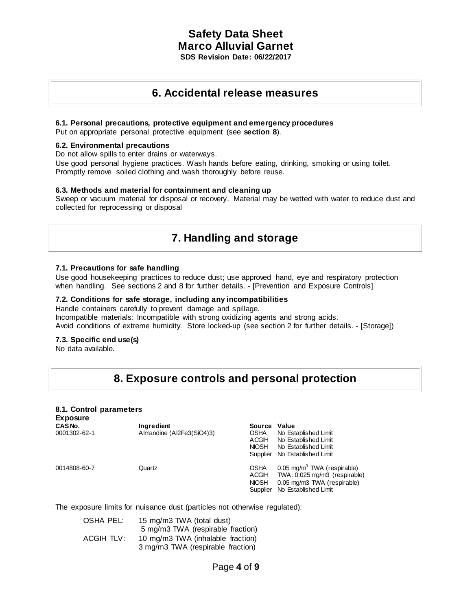## **6. Accidental release measures**

#### **6.1. Personal precautions, protective equipment and emergency procedures**

Put on appropriate personal protective equipment (see **section 8**).

#### **6.2. Environmental precautions**

Do not allow spills to enter drains or waterways.

Use good personal hygiene practices. Wash hands before eating, drinking, smoking or using toilet. Promptly remove soiled clothing and wash thoroughly before reuse.

### **6.3. Methods and material for containment and cleaning up**

Sweep or vacuum material for disposal or recovery. Material may be wetted with water to reduce dust and collected for reprocessing or disposal

# **7. Handling and storage**

#### **7.1. Precautions for safe handling**

Use good housekeeping practices to reduce dust; use approved hand, eye and respiratory protection when handling. See sections 2 and 8 for further details. - [Prevention and Exposure Controls]

#### **7.2. Conditions for safe storage, including any incompatibilities**

Handle containers carefully to prevent damage and spillage. Incompatible materials: Incompatible with strong oxidizing agents and strong acids. Avoid conditions of extreme humidity. Store locked-up (see section 2 for further details. - [Storage])

### **7.3. Specific end use(s)**

No data available.

# **8. Exposure controls and personal protection**

#### **8.1. Control parameters Exposure**

| LAPUJUIU<br>CAS No.<br>0001302-62-1 | Ingredient<br>Almandine (Al2Fe3(SiO4)3) | Source<br><b>OSHA</b><br>ACGIH<br><b>NIOSH</b> | Value<br>No Established Limit<br>No Established Limit<br>No Established Limit<br>Supplier No Established Limit                          |
|-------------------------------------|-----------------------------------------|------------------------------------------------|-----------------------------------------------------------------------------------------------------------------------------------------|
| 0014808-60-7                        | Quartz                                  | <b>OSHA</b><br>ACGIH<br><b>NIOSH</b>           | $0.05 \text{ mg/m}^3$ TWA (respirable)<br>TWA: 0.025 mg/m3 (respirable)<br>0.05 mg/m3 TWA (respirable)<br>Supplier No Established Limit |

The exposure limits for nuisance dust (particles not otherwise regulated):

| OSHA PEL:  | 15 mg/m3 TWA (total dust)         |
|------------|-----------------------------------|
|            | 5 mg/m3 TWA (respirable fraction) |
| ACGIH TLV: | 10 mg/m3 TWA (inhalable fraction) |
|            | 3 mg/m3 TWA (respirable fraction) |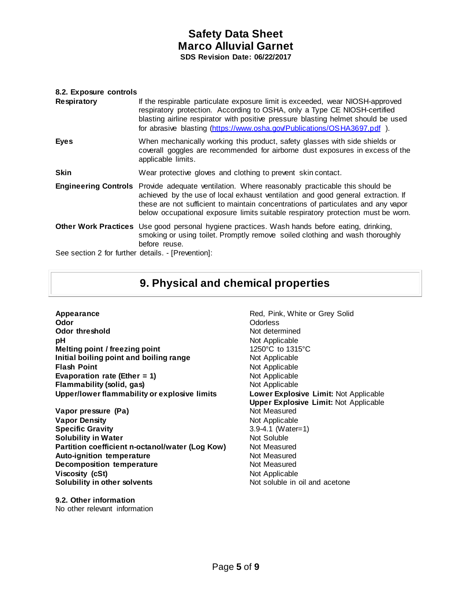| 8.2. Exposure controls<br>Respiratory              | If the respirable particulate exposure limit is exceeded, wear NIOSH-approved<br>respiratory protection. According to OSHA, only a Type CE NIOSH-certified<br>blasting airline respirator with positive pressure blasting helmet should be used<br>for abrasive blasting (https://www.osha.gov/Publications/OSHA3697.pdf).                                         |
|----------------------------------------------------|--------------------------------------------------------------------------------------------------------------------------------------------------------------------------------------------------------------------------------------------------------------------------------------------------------------------------------------------------------------------|
| <b>Eyes</b>                                        | When mechanically working this product, safety glasses with side shields or<br>coverall goggles are recommended for airborne dust exposures in excess of the<br>applicable limits.                                                                                                                                                                                 |
| <b>Skin</b>                                        | Wear protective gloves and clothing to prevent skin contact.                                                                                                                                                                                                                                                                                                       |
|                                                    | <b>Engineering Controls</b> Provide adequate ventilation. Where reasonably practicable this should be<br>achieved by the use of local exhaust ventilation and good general extraction. If<br>these are not sufficient to maintain concentrations of particulates and any vapor<br>below occupational exposure limits suitable respiratory protection must be worn. |
|                                                    | <b>Other Work Practices</b> Use good personal hygiene practices. Wash hands before eating, drinking,<br>smoking or using toilet. Promptly remove soiled clothing and wash thoroughly<br>before reuse.                                                                                                                                                              |
| See section 2 for further details. - [Prevention]: |                                                                                                                                                                                                                                                                                                                                                                    |

# **9. Physical and chemical properties**

**Appearance Red, Pink, White or Grey Solid Odor**<br> **Red, Pink, White or Grey Solid Odor Odor Odorless Odor threshold**<br> **PH**<br>
Not Applicable<br>
Not Applicable **Melting point / freezing point Initial boiling point and boiling range Mot Applicable Flash Point**<br> **Evaporation rate (Ether = 1)** Not Applicable<br>
Not Applicable **Evaporation rate (Ether = 1) Flammability (solid, gas)** Not Applicable **Upper/lower flammability or explosive limits Lower Explosive Limit:** Not Applicable

**Vapor pressure (Pa) Vapor Density**<br> **Specific Gravity**<br> **Specific Gravity**<br> **Not** Applicable 3.9-4.1 (Water-**Solubility in Water**  Not Soluble Not Soluble **Partition coefficient n-octanol/water (Log Kow)** Not Measured<br>**Auto-ignition temperature Not Measured Auto-ignition temperature Decomposition temperature Not Measured Viscosity (cSt) Not Applicable Not Applicable Solubility in other solvents Not soluble in oil and acetone** 

Not Applicable<br>1250°C to 1315°C **Upper Explosive Limit:** Not Applicable **Specific Gravity** 3.9-4.1 (Water=1)

**9.2. Other information** No other relevant information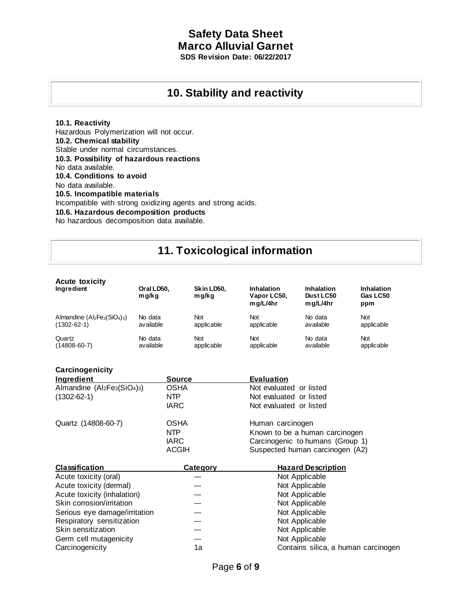## **10. Stability and reactivity**

## **10.1. Reactivity**

**Carcinogenicity** 

Hazardous Polymerization will not occur. **10.2. Chemical stability** Stable under normal circumstances. **10.3. Possibility of hazardous reactions** No data available. **10.4. Conditions to avoid** No data available. **10.5. Incompatible materials** Incompatible with strong oxidizing agents and strong acids. **10.6. Hazardous decomposition products** No hazardous decomposition data available.

# **11. Toxicological information**

| <b>Acute toxicity</b><br>Ingredient | Oral LD50.<br>mg/kg | Skin LD50,<br>mg/kg | <b>Inhalation</b><br>Vapor LC50,<br>mq/L/4hr | <b>Inhalation</b><br>Dust LC50<br>mq/L/4hr | <b>Inhalation</b><br>Gas LC50<br>ppm |
|-------------------------------------|---------------------|---------------------|----------------------------------------------|--------------------------------------------|--------------------------------------|
| Almandine $(AI_2Fe_3(SiO_4)_3)$     | No data             | Not                 | <b>Not</b>                                   | No data                                    | <b>Not</b>                           |
| $(1302 - 62 - 1)$                   | available           | applicable          | applicable                                   | available                                  | applicable                           |
| Quartz                              | No data             | <b>Not</b>          | <b>Not</b>                                   | No data                                    | <b>Not</b>                           |
| $(14808 - 60 - 7)$                  | available           | applicable          | applicable                                   | available                                  | applicable                           |

| Carcinogenicity                                                               |               |                                  |
|-------------------------------------------------------------------------------|---------------|----------------------------------|
| <b>Ingredient</b>                                                             | <b>Source</b> | <b>Evaluation</b>                |
| Almandine (Al <sub>2</sub> Fe <sub>3</sub> (SiO <sub>4</sub> ) <sub>3</sub> ) | <b>OSHA</b>   | Not evaluated or listed          |
| $(1302 - 62 - 1)$                                                             | NTP           | Not evaluated or listed          |
|                                                                               | <b>IARC</b>   | Not evaluated or listed          |
| Quartz (14808-60-7)                                                           | <b>OSHA</b>   | Human carcinogen                 |
|                                                                               | NTP           | Known to be a human carcinogen   |
|                                                                               | <b>IARC</b>   | Carcinogenic to humans (Group 1) |
|                                                                               | <b>ACGIH</b>  | Suspected human carcinogen (A2)  |

| <b>Classification</b>         | Category | <b>Hazard Description</b>           |
|-------------------------------|----------|-------------------------------------|
| Acute toxicity (oral)         |          | Not Applicable                      |
| Acute toxicity (dermal)       |          | Not Applicable                      |
| Acute toxicity (inhalation)   |          | Not Applicable                      |
| Skin corrosion/irritation     |          | Not Applicable                      |
| Serious eye damage/irritation |          | Not Applicable                      |
| Respiratory sensitization     | $---$    | Not Applicable                      |
| Skin sensitization            | ---      | Not Applicable                      |
| Germ cell mutagenicity        | ---      | Not Applicable                      |
| Carcinogenicity               | 1a       | Contains silica, a human carcinogen |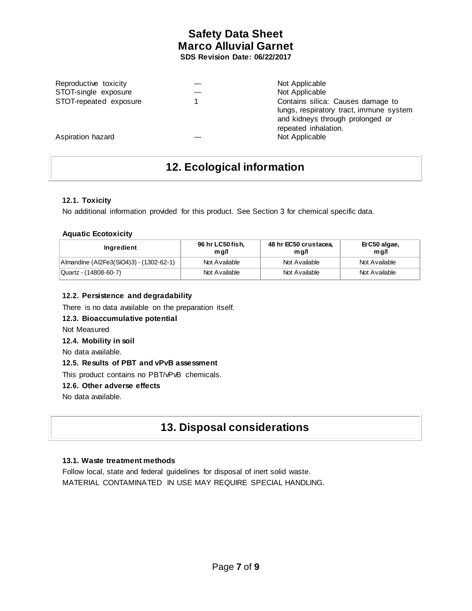| Reproductive toxicity  | Not Applicable                                                                                                                           |
|------------------------|------------------------------------------------------------------------------------------------------------------------------------------|
| STOT-single exposure   | Not Applicable                                                                                                                           |
| STOT-repeated exposure | Contains silica: Causes damage to<br>lungs, respiratory tract, immune system<br>and kidneys through prolonged or<br>repeated inhalation. |
| Aspiration hazard      | Not Applicable                                                                                                                           |

# **12. Ecological information**

## **12.1. Toxicity**

No additional information provided for this product. See Section 3 for chemical specific data.

## **Aquatic Ecotoxicity**

| Ingredient                              | 96 hr LC50 fish,<br>m a/l | 48 hr EC50 crustacea,<br>m g/l | ErC50 algae,<br>mq/l |
|-----------------------------------------|---------------------------|--------------------------------|----------------------|
| Almandine (Al2Fe3(SiO4)3) - (1302-62-1) | Not Available             | Not Available                  | Not Available        |
| Quartz - (14808-60-7)                   | Not Available             | Not Available                  | Not Available        |

## **12.2. Persistence and degradability**

There is no data available on the preparation itself.

## **12.3. Bioaccumulative potential**

Not Measured

### **12.4. Mobility in soil**

No data available.

### **12.5. Results of PBT and vPvB assessment**

This product contains no PBT/vPvB chemicals.

### **12.6. Other adverse effects**

No data available.

# **13. Disposal considerations**

## **13.1. Waste treatment methods**

Follow local, state and federal guidelines for disposal of inert solid waste. MATERIAL CONTAMINATED IN USE MAY REQUIRE SPECIAL HANDLING.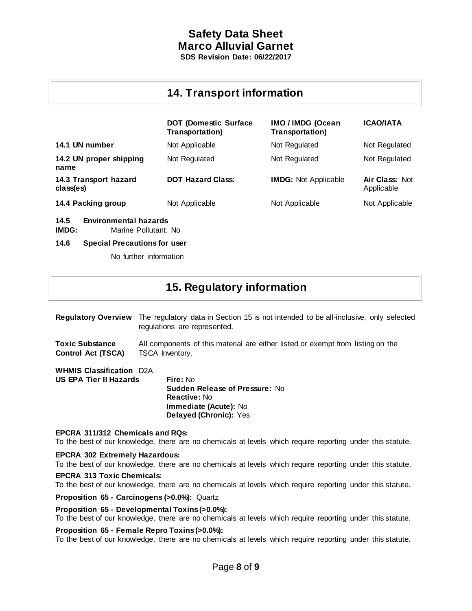# **Safety Data Sheet Marco Alluvial Garnet**

**SDS Revision Date: 06/22/2017**

# **14. Transport information**

|                                    | <b>DOT (Domestic Surface</b><br>Transportation) | IMO / IMDG (Ocean<br>Transportation) | <b>ICAO/IATA</b>                    |
|------------------------------------|-------------------------------------------------|--------------------------------------|-------------------------------------|
| 14.1 UN number                     | Not Applicable                                  | Not Regulated                        | Not Regulated                       |
| 14.2 UN proper shipping<br>name    | Not Regulated                                   | Not Regulated                        | Not Regulated                       |
| 14.3 Transport hazard<br>class(es) | <b>DOT Hazard Class:</b>                        | <b>IMDG:</b> Not Applicable          | <b>Air Class: Not</b><br>Applicable |
| 14.4 Packing group                 | Not Applicable                                  | Not Applicable                       | Not Applicable                      |

**14.5 Environmental hazards** 

**IMDG:** Marine Pollutant: No

### **14.6 Special Precautions for user**

No further information

# **15. Regulatory information**

**Regulatory Overview** The regulatory data in Section 15 is not intended to be all-inclusive, only selected regulations are represented.

**Toxic Substance** All components of this material are either listed or exempt from listing on the **Control Act (TSCA)** TSCA Inventory.

**WHMIS Classification** D2A **US EPA Tier II Hazards Fire:** No

**Sudden Release of Pressure:** No **Reactive:** No **Immediate (Acute):** No **Delayed (Chronic):** Yes

## **EPCRA 311/312 Chemicals and RQs:**

To the best of our knowledge, there are no chemicals at levels which require reporting under this statute.

## **EPCRA 302 Extremely Hazardous:**

To the best of our knowledge, there are no chemicals at levels which require reporting under this statute.

## **EPCRA 313 Toxic Chemicals:**

To the best of our knowledge, there are no chemicals at levels which require reporting under this statute.

**Proposition 65 - Carcinogens (>0.0%):** Quartz

### **Proposition 65 - Developmental Toxins(>0.0%):**

To the best of our knowledge, there are no chemicals at levels which require reporting under this statute.

## **Proposition 65 - Female Repro Toxins(>0.0%):**

To the best of our knowledge, there are no chemicals at levels which require reporting under this statute.